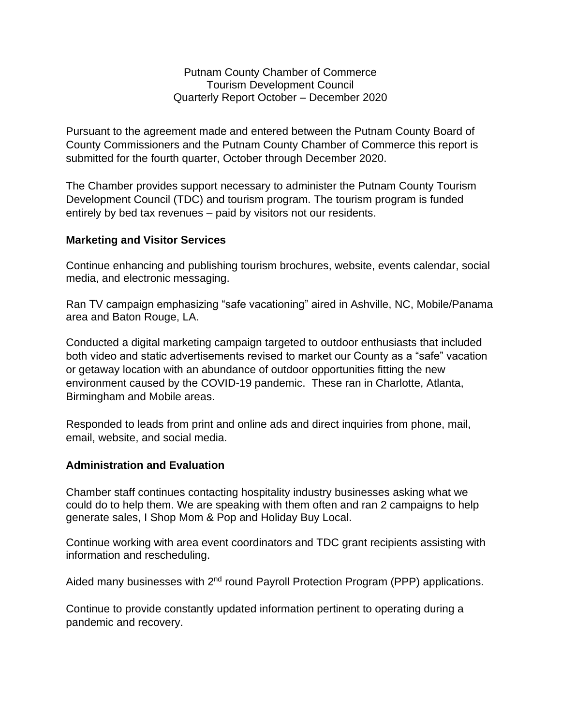Putnam County Chamber of Commerce Tourism Development Council Quarterly Report October – December 2020

Pursuant to the agreement made and entered between the Putnam County Board of County Commissioners and the Putnam County Chamber of Commerce this report is submitted for the fourth quarter, October through December 2020.

The Chamber provides support necessary to administer the Putnam County Tourism Development Council (TDC) and tourism program. The tourism program is funded entirely by bed tax revenues – paid by visitors not our residents.

## **Marketing and Visitor Services**

Continue enhancing and publishing tourism brochures, website, events calendar, social media, and electronic messaging.

Ran TV campaign emphasizing "safe vacationing" aired in Ashville, NC, Mobile/Panama area and Baton Rouge, LA.

Conducted a digital marketing campaign targeted to outdoor enthusiasts that included both video and static advertisements revised to market our County as a "safe" vacation or getaway location with an abundance of outdoor opportunities fitting the new environment caused by the COVID-19 pandemic. These ran in Charlotte, Atlanta, Birmingham and Mobile areas.

Responded to leads from print and online ads and direct inquiries from phone, mail, email, website, and social media.

## **Administration and Evaluation**

Chamber staff continues contacting hospitality industry businesses asking what we could do to help them. We are speaking with them often and ran 2 campaigns to help generate sales, I Shop Mom & Pop and Holiday Buy Local.

Continue working with area event coordinators and TDC grant recipients assisting with information and rescheduling.

Aided many businesses with 2<sup>nd</sup> round Payroll Protection Program (PPP) applications.

Continue to provide constantly updated information pertinent to operating during a pandemic and recovery.